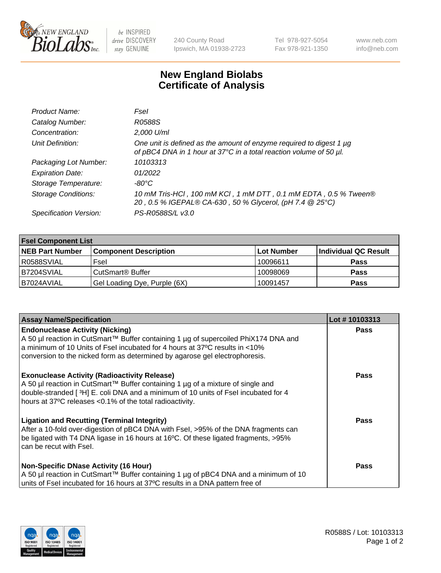

 $be$  INSPIRED drive DISCOVERY stay GENUINE

240 County Road Ipswich, MA 01938-2723 Tel 978-927-5054 Fax 978-921-1350 www.neb.com info@neb.com

## **New England Biolabs Certificate of Analysis**

| Product Name:              | Fsel                                                                                                                                      |
|----------------------------|-------------------------------------------------------------------------------------------------------------------------------------------|
| Catalog Number:            | R0588S                                                                                                                                    |
| Concentration:             | 2,000 U/ml                                                                                                                                |
| Unit Definition:           | One unit is defined as the amount of enzyme required to digest 1 µg<br>of pBC4 DNA in 1 hour at 37°C in a total reaction volume of 50 µl. |
| Packaging Lot Number:      | 10103313                                                                                                                                  |
| <b>Expiration Date:</b>    | 01/2022                                                                                                                                   |
| Storage Temperature:       | $-80^{\circ}$ C                                                                                                                           |
| <b>Storage Conditions:</b> | 10 mM Tris-HCl, 100 mM KCl, 1 mM DTT, 0.1 mM EDTA, 0.5 % Tween®<br>20, 0.5 % IGEPAL® CA-630, 50 % Glycerol, (pH 7.4 @ 25°C)               |
| Specification Version:     | PS-R0588S/L v3.0                                                                                                                          |

| <b>Fsel Component List</b> |                              |                   |                      |  |  |
|----------------------------|------------------------------|-------------------|----------------------|--|--|
| <b>NEB Part Number</b>     | <b>Component Description</b> | <b>Lot Number</b> | Individual QC Result |  |  |
| R0588SVIAL                 | Fsel                         | 10096611          | <b>Pass</b>          |  |  |
| B7204SVIAL                 | CutSmart <sup>®</sup> Buffer | 10098069          | <b>Pass</b>          |  |  |
| B7024AVIAL                 | Gel Loading Dye, Purple (6X) | 10091457          | <b>Pass</b>          |  |  |

| <b>Assay Name/Specification</b>                                                                                                                                                                                                                                                            | Lot #10103313 |
|--------------------------------------------------------------------------------------------------------------------------------------------------------------------------------------------------------------------------------------------------------------------------------------------|---------------|
| <b>Endonuclease Activity (Nicking)</b><br>  A 50 µl reaction in CutSmart™ Buffer containing 1 µg of supercoiled PhiX174 DNA and<br>a minimum of 10 Units of Fsel incubated for 4 hours at 37°C results in <10%                                                                             | <b>Pass</b>   |
| conversion to the nicked form as determined by agarose gel electrophoresis.                                                                                                                                                                                                                | Pass          |
| <b>Exonuclease Activity (Radioactivity Release)</b><br>  A 50 µl reaction in CutSmart™ Buffer containing 1 µg of a mixture of single and<br>double-stranded [3H] E. coli DNA and a minimum of 10 units of Fsel incubated for 4<br>hours at 37°C releases <0.1% of the total radioactivity. |               |
| <b>Ligation and Recutting (Terminal Integrity)</b><br>After a 10-fold over-digestion of pBC4 DNA with Fsel, >95% of the DNA fragments can<br>be ligated with T4 DNA ligase in 16 hours at 16°C. Of these ligated fragments, >95%<br>can be recut with Fsel.                                | Pass          |
| <b>Non-Specific DNase Activity (16 Hour)</b><br>A 50 µl reaction in CutSmart™ Buffer containing 1 µg of pBC4 DNA and a minimum of 10<br>units of Fsel incubated for 16 hours at 37°C results in a DNA pattern free of                                                                      | <b>Pass</b>   |